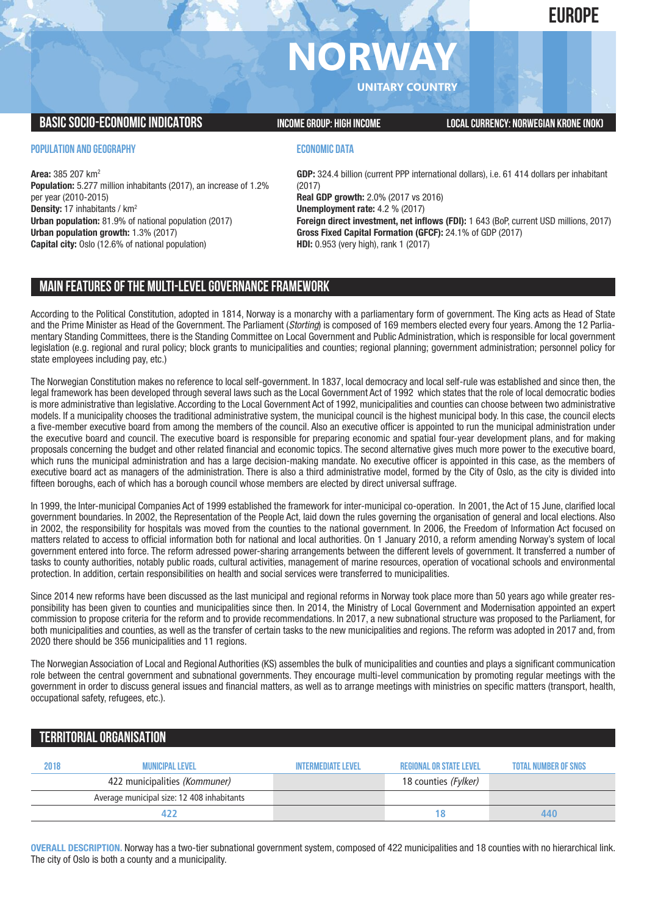**EUROPE**

# **NORWA**

**UNITARY COUNTRY**

## **BASICSOCIO-ECONOMICINDICATORS INCOMEGROUP: HIGH INCOME LOCALCURRENCY: NORWEGIAN KRONE(NOK)**

### **POPULATION AND GEOGRAPHY**

**Area:** 385 207 km2 **Population:** 5.277 million inhabitants (2017), an increase of 1.2% per year (2010-2015) **Density:** 17 inhabitants / km2 **Urban population:** 81.9% of national population (2017) **Urban population growth:** 1.3% (2017) **Capital city:** Oslo (12.6% of national population)

## **ECONOMIC DATA**

**GDP:** 324.4 billion (current PPP international dollars), i.e. 61 414 dollars per inhabitant (2017) **Real GDP growth:** 2.0% (2017 vs 2016) **Unemployment rate:** 4.2 % (2017) **Foreign direct investment, net inflows (FDI):** 1 643 (BoP, current USD millions, 2017) **Gross Fixed Capital Formation (GFCF):** 24.1% of GDP (2017) **HDI:** 0.953 (very high), rank 1 (2017)

# **MAIN FEATURESOFTHE MULTI-LEVELGOVERNANCEFRAMEWORK**

According to the Political Constitution, adopted in 1814, Norway is a monarchy with a parliamentary form of government. The King acts as Head of State and the Prime Minister as Head of the Government. The Parliament (*Storting*) is composed of 169 members elected every four years. Among the 12 Parliamentary Standing Committees, there is the Standing Committee on Local Government and Public Administration, which is responsible for local government legislation (e.g. regional and rural policy; block grants to municipalities and counties; regional planning; government administration; personnel policy for state employees including pay, etc.)

The Norwegian Constitution makes no reference to local self-government. In 1837, local democracy and local self-rule was established and since then, the legal framework has been developed through several laws such as the Local Government Act of 1992 which states that the role of local democratic bodies is more administrative than legislative. According to the Local Government Act of 1992, municipalities and counties can choose between two administrative models. If a municipality chooses the traditional administrative system, the municipal council is the highest municipal body. In this case, the council elects a five-member executive board from among the members of the council. Also an executive officer is appointed to run the municipal administration under the executive board and council. The executive board is responsible for preparing economic and spatial four-year development plans, and for making proposals concerning the budget and other related financial and economic topics. The second alternative gives much more power to the executive board, which runs the municipal administration and has a large decision-making mandate. No executive officer is appointed in this case, as the members of executive board act as managers of the administration. There is also a third administrative model, formed by the City of Oslo, as the city is divided into fifteen boroughs, each of which has a borough council whose members are elected by direct universal suffrage.

In 1999, the Inter-municipal Companies Act of 1999 established the framework for inter-municipal co-operation. In 2001, the Act of 15 June, clarified local government boundaries. In 2002, the Representation of the People Act, laid down the rules governing the organisation of general and local elections. Also in 2002, the responsibility for hospitals was moved from the counties to the national government. In 2006, the Freedom of Information Act focused on matters related to access to official information both for national and local authorities. On 1 January 2010, a reform amending Norway's system of local government entered into force. The reform adressed power-sharing arrangements between the different levels of government. It transferred a number of tasks to county authorities, notably public roads, cultural activities, management of marine resources, operation of vocational schools and environmental protection. In addition, certain responsibilities on health and social services were transferred to municipalities.

Since 2014 new reforms have been discussed as the last municipal and regional reforms in Norway took place more than 50 years ago while greater responsibility has been given to counties and municipalities since then. In 2014, the Ministry of Local Government and Modernisation appointed an expert commission to propose criteria for the reform and to provide recommendations. In 2017, a new subnational structure was proposed to the Parliament, for both municipalities and counties, as well as the transfer of certain tasks to the new municipalities and regions. The reform was adopted in 2017 and, from 2020 there should be 356 municipalities and 11 regions.

The Norwegian Association of Local and Regional Authorities (KS) assembles the bulk of municipalities and counties and plays a significant communication role between the central government and subnational governments. They encourage multi-level communication by promoting regular meetings with the government in order to discuss general issues and financial matters, as well as to arrange meetings with ministries on specific matters (transport, health, occupational safety, refugees, etc.).

# **TERRITORIALORGANISATION**

| 2018 | MUNICIPAL LEVEL                            | <b>INTERMEDIATE LEVEL</b> | <b>REGIONAL OR STATE LEVEL</b> | <b>TOTAL NUMBER OF SNGS</b> |
|------|--------------------------------------------|---------------------------|--------------------------------|-----------------------------|
|      | 422 municipalities (Kommuner)              |                           | 18 counties (Fylker)           |                             |
|      | Average municipal size: 12 408 inhabitants |                           |                                |                             |
|      |                                            |                           | 1 X                            | 440                         |

**OVERALL DESCRIPTION.** Norway has a two-tier subnational government system, composed of 422 municipalities and 18 counties with no hierarchical link. The city of Oslo is both a county and a municipality.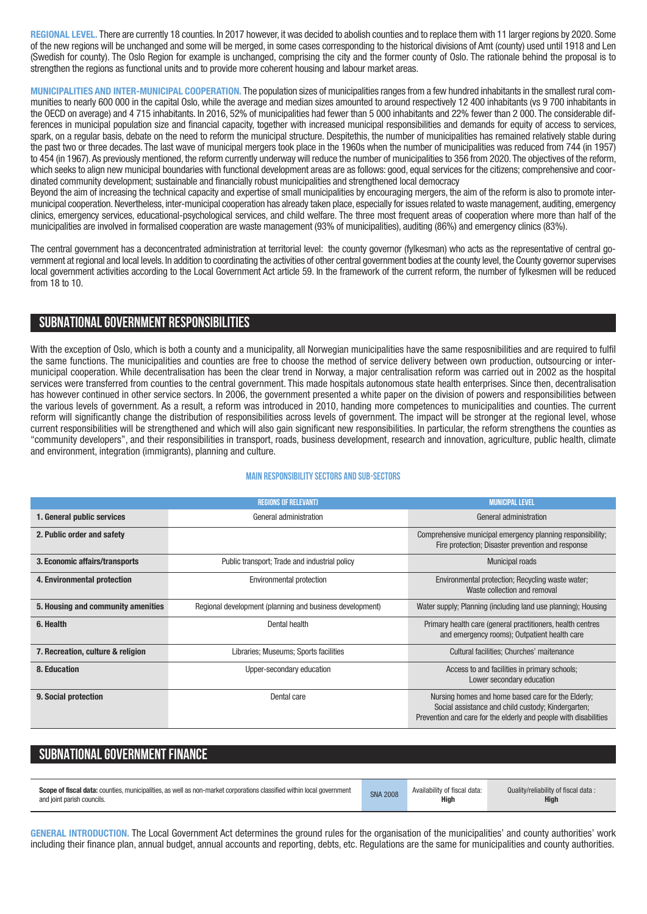**REGIONAL LEVEL.** There are currently 18 counties. In 2017 however, it was decided to abolish counties and to replace them with 11 larger regions by 2020. Some of the new regions will be unchanged and some will be merged, in some cases corresponding to the historical divisions of Amt (county) used until 1918 and Len (Swedish for county). The Oslo Region for example is unchanged, comprising the city and the former county of Oslo. The rationale behind the proposal is to strengthen the regions as functional units and to provide more coherent housing and labour market areas.

**MUNICIPALITIES AND INTER-MUNICIPAL COOPERATION.** The population sizes of municipalities ranges from a few hundred inhabitants in the smallest rural communities to nearly 600 000 in the capital Oslo, while the average and median sizes amounted to around respectively 12 400 inhabitants (vs 9 700 inhabitants in the OECD on average) and 4 715 inhabitants. In 2016, 52% of municipalities had fewer than 5 000 inhabitants and 22% fewer than 2 000. The considerable differences in municipal population size and financial capacity, together with increased municipal responsibilities and demands for equity of access to services, spark, on a regular basis, debate on the need to reform the municipal structure. Despitethis, the number of municipalities has remained relatively stable during the past two or three decades. The last wave of municipal mergers took place in the 1960s when the number of municipalities was reduced from 744 (in 1957) to 454 (in 1967).As previously mentioned, the reform currently underway will reduce the number of municipalities to 356 from 2020.The objectives of the reform, which seeks to align new municipal boundaries with functional development areas are as follows: good, equal services for the citizens; comprehensive and coordinated community development; sustainable and financially robust municipalities and strengthened local democracy

Beyond the aim of increasing the technical capacity and expertise of small municipalities by encouraging mergers, the aim of the reform is also to promote intermunicipal cooperation.Nevertheless, inter-municipal cooperation has already taken place, especially for issues related to waste management, auditing, emergency clinics, emergency services, educational-psychological services, and child welfare. The three most frequent areas of cooperation where more than half of the municipalities are involved in formalised cooperation are waste management (93% of municipalities), auditing (86%) and emergency clinics (83%).

The central government has a deconcentrated administration at territorial level: the county governor (fylkesman) who acts as the representative of central government at regional and local levels. In addition to coordinating the activities of other central government bodies at the county level, the County governor supervises local government activities according to the Local Government Act article 59. In the framework of the current reform, the number of fylkesmen will be reduced from 18 to 10.

# **SUBNATIONALGOVERNMENT RESPONSIBILITIES**

With the exception of Oslo, which is both a county and a municipality, all Norwegian municipalities have the same resposnibilities and are required to fulfil the same functions. The municipalities and counties are free to choose the method of service delivery between own production, outsourcing or intermunicipal cooperation. While decentralisation has been the clear trend in Norway, a major centralisation reform was carried out in 2002 as the hospital services were transferred from counties to the central government. This made hospitals autonomous state health enterprises. Since then, decentralisation has however continued in other service sectors. In 2006, the government presented a white paper on the division of powers and responsibilities between the various levels of government. As a result, a reform was introduced in 2010, handing more competences to municipalities and counties. The current reform will significantly change the distribution of responsibilities across levels of government. The impact will be stronger at the regional level, whose current responsibilities will be strengthened and which will also gain significant new responsibilities. In particular, the reform strengthens the counties as "community developers", and their responsibilities in transport, roads, business development, research and innovation, agriculture, public health, climate and environment, integration (immigrants), planning and culture.

#### **Main responsibilitysectors and sub-sectors**

|                                    | <b>REGIONS (IF RELEVANT)</b>                             | <b>MUNICIPAL LEVEL</b>                                                                                                                                                       |  |
|------------------------------------|----------------------------------------------------------|------------------------------------------------------------------------------------------------------------------------------------------------------------------------------|--|
| 1. General public services         | General administration                                   | General administration                                                                                                                                                       |  |
| 2. Public order and safety         |                                                          | Comprehensive municipal emergency planning responsibility;<br>Fire protection; Disaster prevention and response                                                              |  |
| 3. Economic affairs/transports     | Public transport; Trade and industrial policy            | <b>Municipal roads</b>                                                                                                                                                       |  |
| 4. Environmental protection        | Environmental protection                                 | Environmental protection; Recycling waste water;<br>Waste collection and removal                                                                                             |  |
| 5. Housing and community amenities | Regional development (planning and business development) | Water supply; Planning (including land use planning); Housing                                                                                                                |  |
| 6. Health                          | Dental health                                            | Primary health care (general practitioners, health centres<br>and emergency rooms); Outpatient health care                                                                   |  |
| 7. Recreation, culture & religion  | Libraries; Museums; Sports facilities                    | Cultural facilities; Churches' maitenance                                                                                                                                    |  |
| 8. Education                       | Upper-secondary education                                | Access to and facilities in primary schools;<br>Lower secondary education                                                                                                    |  |
| 9. Social protection               | Dental care                                              | Nursing homes and home based care for the Elderly;<br>Social assistance and child custody; Kindergarten;<br>Prevention and care for the elderly and people with disabilities |  |

# **SUBNATIONAL GOVERNMENT FINANCE**

| Scope of fiscal data: counties, municipalities, as well as non-market corporations classified within local government | <b>SNA 2008</b> | Availability of fiscal data: | Quality/reliability of fiscal data: |
|-----------------------------------------------------------------------------------------------------------------------|-----------------|------------------------------|-------------------------------------|
| and joint parish councils.                                                                                            |                 | Hiah                         | <b>High</b>                         |

**GENERAL INTRODUCTION.** The Local Government Act determines the ground rules for the organisation of the municipalities' and county authorities' work including their finance plan, annual budget, annual accounts and reporting, debts, etc. Regulations are the same for municipalities and county authorities.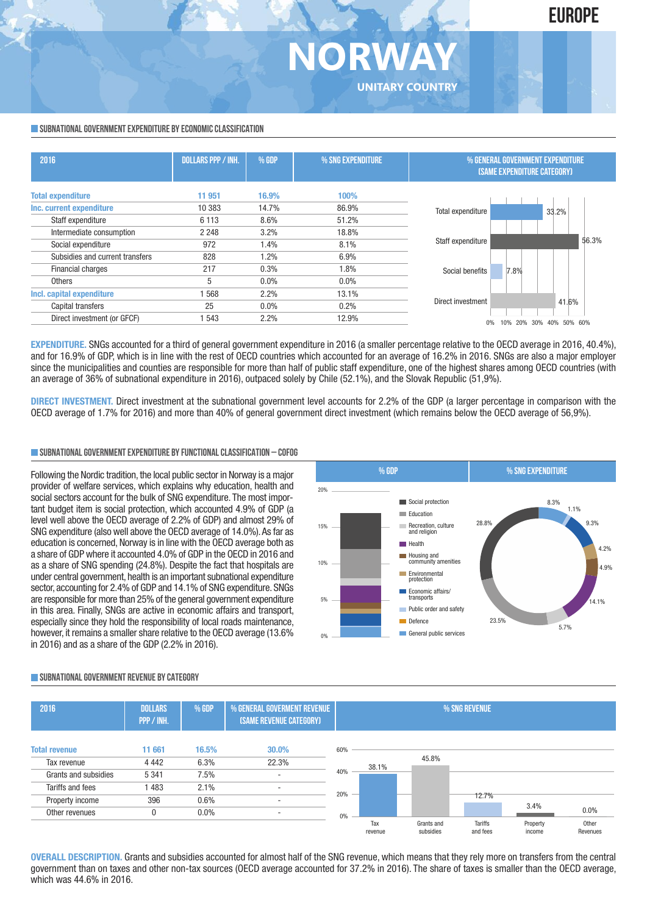**SUBNATIONAL GOVERNMENT EXPENDITURE BY ECONOMIC CLASSIFICATION** 

| 2016                            | <b>DOLLARS PPP / INH.</b> | % GDP   | % SNG EXPENDITURE | % GENERAL GOVERNMENT EXPENDITURE<br><b>(SAME EXPENDITURE CATEGORY)</b> |
|---------------------------------|---------------------------|---------|-------------------|------------------------------------------------------------------------|
| <b>Total expenditure</b>        | 11 951                    | 16.9%   | 100%              |                                                                        |
| Inc. current expenditure        | 10 383                    | 14.7%   | 86.9%             | Total expenditure<br>33.2%                                             |
| Staff expenditure               | 6 1 1 3                   | 8.6%    | 51.2%             |                                                                        |
| Intermediate consumption        | 2 2 4 8                   | 3.2%    | 18.8%             |                                                                        |
| Social expenditure              | 972                       | 1.4%    | 8.1%              | 56.3%<br>Staff expenditure                                             |
| Subsidies and current transfers | 828                       | 1.2%    | 6.9%              |                                                                        |
| Financial charges               | 217                       | 0.3%    | 1.8%              | Social benefits<br>7.8%                                                |
| Others                          | 5                         | $0.0\%$ | $0.0\%$           |                                                                        |
| Incl. capital expenditure       | 568                       | 2.2%    | 13.1%             |                                                                        |
| Capital transfers               | 25                        | $0.0\%$ | 0.2%              | Direct investment<br>41.6%                                             |
| Direct investment (or GFCF)     | 543                       | 2.2%    | 12.9%             | 10%<br>20%<br>30%<br>50% 60%<br>40%                                    |

**NORWA** 

**UNITARY COUNTRY**

**EXPENDITURE.** SNGs accounted for a third of general government expenditure in 2016 (a smaller percentage relative to the OECD average in 2016, 40.4%), and for 16.9% of GDP, which is in line with the rest of OECD countries which accounted for an average of 16.2% in 2016. SNGs are also a major employer since the municipalities and counties are responsible for more than half of public staff expenditure, one of the highest shares among OECD countries (with an average of 36% of subnational expenditure in 2016), outpaced solely by Chile (52.1%), and the Slovak Republic (51,9%).

**DIRECT INVESTMENT.** Direct investment at the subnational government level accounts for 2.2% of the GDP (a larger percentage in comparison with the OECD average of 1.7% for 2016) and more than 40% of general government direct investment (which remains below the OECD average of 56,9%).

#### **SUBNATIONALGOVERNMENTEXPENDITURE BYFUNCTIONALCLASSIFICATION – COFOG**

Following the Nordic tradition, the local public sector in Norway is a major provider of welfare services, which explains why education, health and social sectors account for the bulk of SNG expenditure. The most important budget item is social protection, which accounted 4.9% of GDP (a level well above the OECD average of 2.2% of GDP) and almost 29% of SNG expenditure (also well above the OECD average of 14.0%).As far as education is concerned, Norway is in line with the OECD average both as a share of GDP where it accounted 4.0% of GDP in the OECD in 2016 and as a share of SNG spending (24.8%). Despite the fact that hospitals are under central government, health is an important subnational expenditure sector, accounting for 2.4% of GDP and 14.1% of SNG expenditure. SNGs are responsible for more than 25% of the general government expenditure in this area. Finally, SNGs are active in economic affairs and transport, especially since they hold the responsibility of local roads maintenance, however, it remains a smaller share relative to the OECD average (13.6% in 2016) and as a share of the GDP (2.2% in 2016).



#### **SUBNATIONALGOVERNMENT REVENUE BYCATEGORY**



**OVERALL DESCRIPTION.** Grants and subsidies accounted for almost half of the SNG revenue, which means that they rely more on transfers from the central government than on taxes and other non-tax sources (OECD average accounted for 37.2% in 2016). The share of taxes is smaller than the OECD average, which was 44.6% in 2016.